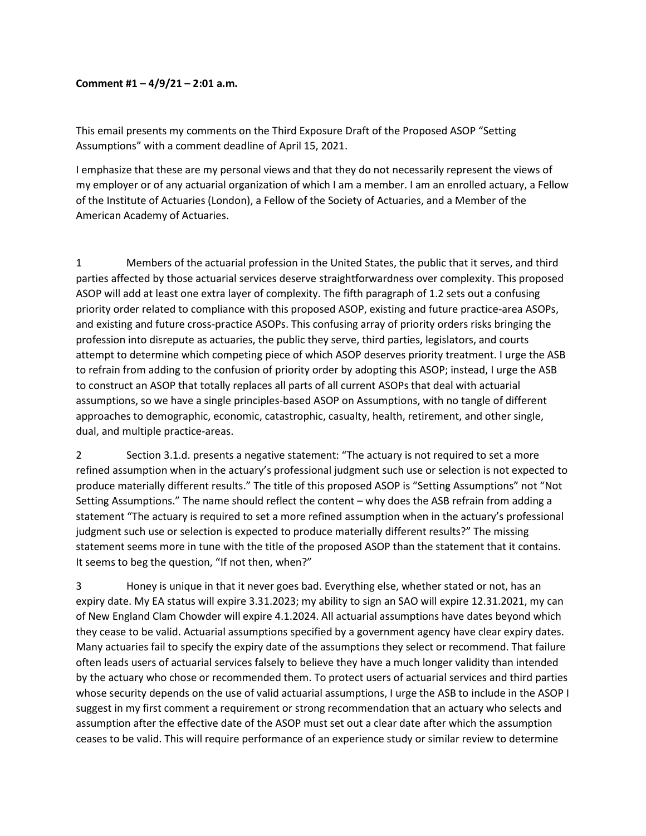## Comment #1 – 4/9/21 – 2:01 a.m.

This email presents my comments on the Third Exposure Draft of the Proposed ASOP "Setting Assumptions" with a comment deadline of April 15, 2021.

I emphasize that these are my personal views and that they do not necessarily represent the views of my employer or of any actuarial organization of which I am a member. I am an enrolled actuary, a Fellow of the Institute of Actuaries (London), a Fellow of the Society of Actuaries, and a Member of the American Academy of Actuaries.

1 Members of the actuarial profession in the United States, the public that it serves, and third parties affected by those actuarial services deserve straightforwardness over complexity. This proposed ASOP will add at least one extra layer of complexity. The fifth paragraph of 1.2 sets out a confusing priority order related to compliance with this proposed ASOP, existing and future practice-area ASOPs, and existing and future cross-practice ASOPs. This confusing array of priority orders risks bringing the profession into disrepute as actuaries, the public they serve, third parties, legislators, and courts attempt to determine which competing piece of which ASOP deserves priority treatment. I urge the ASB to refrain from adding to the confusion of priority order by adopting this ASOP; instead, I urge the ASB to construct an ASOP that totally replaces all parts of all current ASOPs that deal with actuarial assumptions, so we have a single principles-based ASOP on Assumptions, with no tangle of different approaches to demographic, economic, catastrophic, casualty, health, retirement, and other single, dual, and multiple practice-areas.

2 Section 3.1.d. presents a negative statement: "The actuary is not required to set a more refined assumption when in the actuary's professional judgment such use or selection is not expected to produce materially different results." The title of this proposed ASOP is "Setting Assumptions" not "Not Setting Assumptions." The name should reflect the content – why does the ASB refrain from adding a statement "The actuary is required to set a more refined assumption when in the actuary's professional judgment such use or selection is expected to produce materially different results?" The missing statement seems more in tune with the title of the proposed ASOP than the statement that it contains. It seems to beg the question, "If not then, when?"

3 Honey is unique in that it never goes bad. Everything else, whether stated or not, has an expiry date. My EA status will expire 3.31.2023; my ability to sign an SAO will expire 12.31.2021, my can of New England Clam Chowder will expire 4.1.2024. All actuarial assumptions have dates beyond which they cease to be valid. Actuarial assumptions specified by a government agency have clear expiry dates. Many actuaries fail to specify the expiry date of the assumptions they select or recommend. That failure often leads users of actuarial services falsely to believe they have a much longer validity than intended by the actuary who chose or recommended them. To protect users of actuarial services and third parties whose security depends on the use of valid actuarial assumptions, I urge the ASB to include in the ASOP I suggest in my first comment a requirement or strong recommendation that an actuary who selects and assumption after the effective date of the ASOP must set out a clear date after which the assumption ceases to be valid. This will require performance of an experience study or similar review to determine